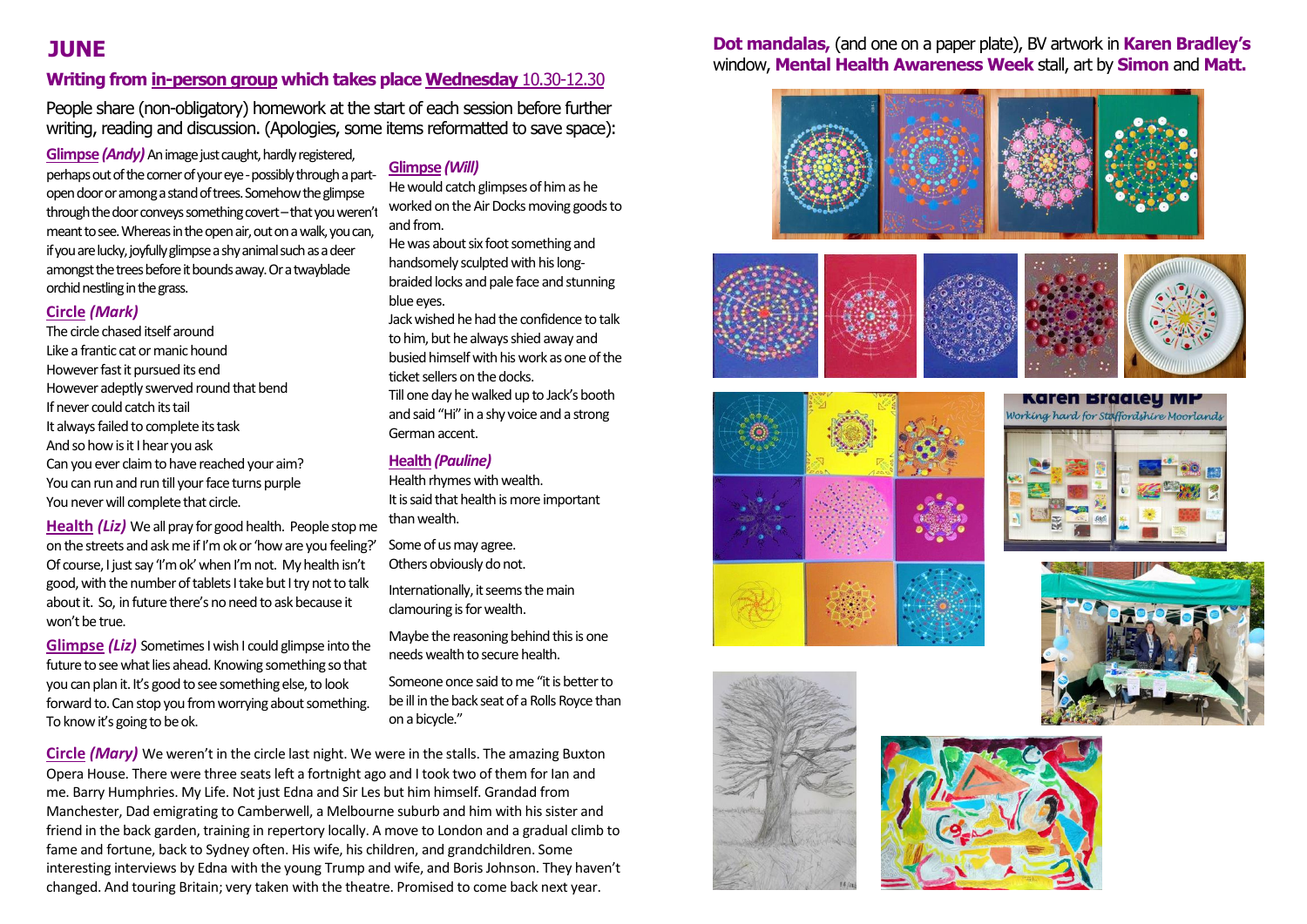#### **Writing from in-person group which takes place Wednesday** 10.30-12.30

People share (non-obligatory) homework at the start of each session before further writing, reading and discussion. (Apologies, some items reformatted to save space):

**Glimpse** *(Andy)* An image just caught, hardly registered, perhaps out of the corner of your eye -possibly through a partopen door or among a stand of trees. Somehow the glimpse through the door conveys something covert-that you weren't meant to see. Whereas in the open air, out on a walk, youcan, if you are lucky, joyfully glimpse a shy animal such as a deer amongst the trees before it bounds away. Or a twayblade orchid nestling in the grass.

#### **Circle** *(Mark)*

The circle chased itself around Like a frantic cat or manic hound However fast it pursued its end However adeptly swerved round that bend If never could catch its tail It always failed to complete its task And so how is it I hear you ask Can you ever claim to have reached your aim? You can run and run till your face turns purple You never will complete that circle.

**Health** *(Liz)* We all pray for good health. People stop me on the streets and ask me if I'm ok or 'how are you feeling?' Of course, I just say 'I'm ok'when I'm not. My health isn't good, with the number of tablets I take but I try not to talk about it. So, in future there's no need to ask because it won't be true.

**Glimpse** *(Liz)* Sometimes I wish I could glimpse into the future to see what lies ahead. Knowing something so that you can plan it.It's good to see something else, to look forward to. Can stop you from worrying about something. To know it's going to be ok.

#### **Glimpse** *(Will)*

He would catch glimpses of him as he worked on the Air Docks moving goods to and from.

He was about six foot something and handsomely sculpted with his longbraided locks and pale face and stunning blue eyes.

Jack wished he had the confidence to talk to him, but he always shied away and busied himself with his work as one of the ticket sellers on the docks. Till one day he walked up to Jack's booth and said "Hi" in a shy voice and a strong German accent.

#### **Health***(Pauline)*

Health rhymes with wealth. It is said that health is more important than wealth.

Some of us may agree. Others obviously do not.

Internationally, it seems the main clamouring is for wealth.

Maybe the reasoning behind this is one needswealth to secure health.

Someone once said to me "it is better to be ill in the back seat of a Rolls Royce than on a bicycle."

**Circle** *(Mary)* We weren't in the circle last night. We were in the stalls. The amazing Buxton Opera House. There were three seats left a fortnight ago and I took two of them for Ian and me. Barry Humphries. My Life. Not just Edna and Sir Les but him himself. Grandad from Manchester, Dad emigrating to Camberwell, a Melbourne suburb and him with his sister and friend in the back garden, training in repertory locally. A move to London and a gradual climb to fame and fortune, back to Sydney often. His wife, his children, and grandchildren. Some interesting interviews by Edna with the young Trump and wife, and Boris Johnson. They haven't changed. And touring Britain; very taken with the theatre. Promised to come back next year.

#### **JUNE Dot mandalas,** (and one on a paper plate), BV artwork in **Karen Bradley's**  window, **Mental Health Awareness Week** stall, art by **Simon** and **Matt.**